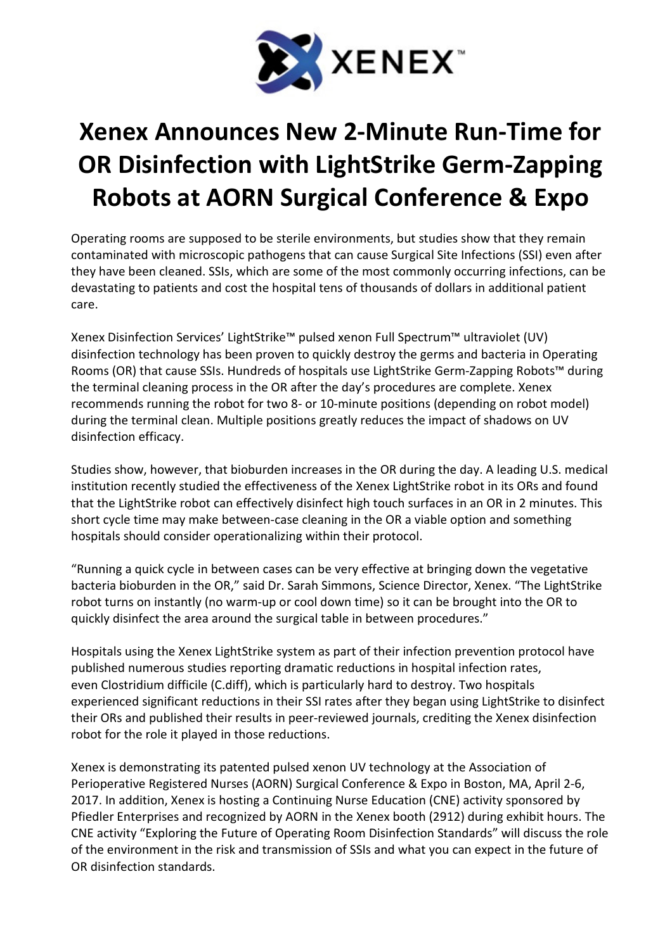

## Xenex Announces New 2-Minute Run-Time for OR Disinfection with LightStrike Germ-Zapping Robots at AORN Surgical Conference & Expo

Operating rooms are supposed to be sterile environments, but studies show that they remain contaminated with microscopic pathogens that can cause Surgical Site Infections (SSI) even after they have been cleaned. SSIs, which are some of the most commonly occurring infections, can be devastating to patients and cost the hospital tens of thousands of dollars in additional patient care.

Xenex Disinfection Services' LightStrike™ pulsed xenon Full Spectrum™ ultraviolet (UV) disinfection technology has been proven to quickly destroy the germs and bacteria in Operating Rooms (OR) that cause SSIs. Hundreds of hospitals use LightStrike Germ-Zapping Robots™ during the terminal cleaning process in the OR after the day's procedures are complete. Xenex recommends running the robot for two 8- or 10-minute positions (depending on robot model) during the terminal clean. Multiple positions greatly reduces the impact of shadows on UV disinfection efficacy.

Studies show, however, that bioburden increases in the OR during the day. A leading U.S. medical institution recently studied the effectiveness of the Xenex LightStrike robot in its ORs and found that the LightStrike robot can effectively disinfect high touch surfaces in an OR in 2 minutes. This short cycle time may make between-case cleaning in the OR a viable option and something hospitals should consider operationalizing within their protocol.

"Running a quick cycle in between cases can be very effective at bringing down the vegetative bacteria bioburden in the OR," said Dr. Sarah Simmons, Science Director, Xenex. "The LightStrike robot turns on instantly (no warm-up or cool down time) so it can be brought into the OR to quickly disinfect the area around the surgical table in between procedures."

Hospitals using the Xenex LightStrike system as part of their infection prevention protocol have published numerous studies reporting dramatic reductions in hospital infection rates, even Clostridium difficile (C.diff), which is particularly hard to destroy. Two hospitals experienced significant reductions in their SSI rates after they began using LightStrike to disinfect their ORs and published their results in peer-reviewed journals, crediting the Xenex disinfection robot for the role it played in those reductions.

Xenex is demonstrating its patented pulsed xenon UV technology at the Association of Perioperative Registered Nurses (AORN) Surgical Conference & Expo in Boston, MA, April 2-6, 2017. In addition, Xenex is hosting a Continuing Nurse Education (CNE) activity sponsored by Pfiedler Enterprises and recognized by AORN in the Xenex booth (2912) during exhibit hours. The CNE activity "Exploring the Future of Operating Room Disinfection Standards" will discuss the role of the environment in the risk and transmission of SSIs and what you can expect in the future of OR disinfection standards.